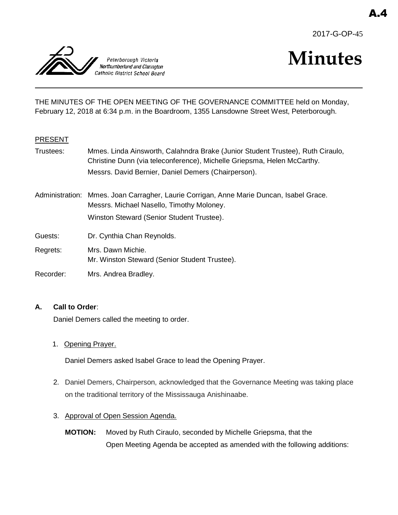



# **Minutes**

THE MINUTES OF THE OPEN MEETING OF THE GOVERNANCE COMMITTEE held on Monday, February 12, 2018 at 6:34 p.m. in the Boardroom, 1355 Lansdowne Street West, Peterborough.

#### PRESENT

- Trustees: Mmes. Linda Ainsworth, Calahndra Brake (Junior Student Trustee), Ruth Ciraulo, Christine Dunn (via teleconference), Michelle Griepsma, Helen McCarthy. Messrs. David Bernier, Daniel Demers (Chairperson).
- Administration: Mmes. Joan Carragher, Laurie Corrigan, Anne Marie Duncan, Isabel Grace. Messrs. Michael Nasello, Timothy Moloney. Winston Steward (Senior Student Trustee).
- Guests: Dr. Cynthia Chan Reynolds.

Regrets: Mrs. Dawn Michie. Mr. Winston Steward (Senior Student Trustee).

Recorder: Mrs. Andrea Bradley.

#### **A. Call to Order**:

Daniel Demers called the meeting to order.

1. Opening Prayer.

Daniel Demers asked Isabel Grace to lead the Opening Prayer.

- 2. Daniel Demers, Chairperson, acknowledged that the Governance Meeting was taking place on the traditional territory of the Mississauga Anishinaabe.
- 3. Approval of Open Session Agenda.
	- **MOTION:** Moved by Ruth Ciraulo, seconded by Michelle Griepsma, that the Open Meeting Agenda be accepted as amended with the following additions: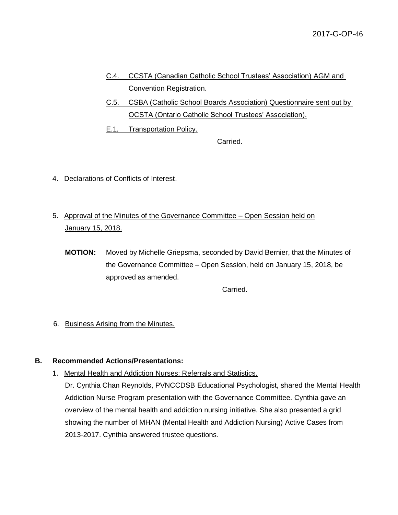- C.4. CCSTA (Canadian Catholic School Trustees' Association) AGM and Convention Registration.
- C.5. CSBA (Catholic School Boards Association) Questionnaire sent out by OCSTA (Ontario Catholic School Trustees' Association).
- E.1. Transportation Policy.

Carried.

- 4. Declarations of Conflicts of Interest.
- 5. Approval of the Minutes of the Governance Committee Open Session held on January 15, 2018.
	- **MOTION:** Moved by Michelle Griepsma, seconded by David Bernier, that the Minutes of the Governance Committee – Open Session, held on January 15, 2018, be approved as amended.

Carried.

6. Business Arising from the Minutes.

#### **B. Recommended Actions/Presentations:**

1. Mental Health and Addiction Nurses: Referrals and Statistics.

Dr. Cynthia Chan Reynolds, PVNCCDSB Educational Psychologist, shared the Mental Health Addiction Nurse Program presentation with the Governance Committee. Cynthia gave an overview of the mental health and addiction nursing initiative. She also presented a grid showing the number of MHAN (Mental Health and Addiction Nursing) Active Cases from 2013-2017. Cynthia answered trustee questions.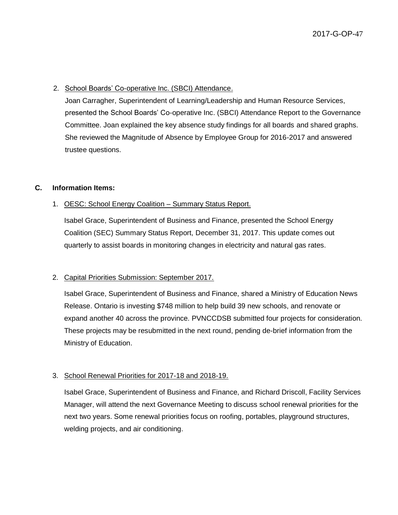#### 2. School Boards' Co-operative Inc. (SBCI) Attendance.

Joan Carragher, Superintendent of Learning/Leadership and Human Resource Services, presented the School Boards' Co-operative Inc. (SBCI) Attendance Report to the Governance Committee. Joan explained the key absence study findings for all boards and shared graphs. She reviewed the Magnitude of Absence by Employee Group for 2016-2017 and answered trustee questions.

#### **C. Information Items:**

#### 1. OESC: School Energy Coalition – Summary Status Report.

Isabel Grace, Superintendent of Business and Finance, presented the School Energy Coalition (SEC) Summary Status Report, December 31, 2017. This update comes out quarterly to assist boards in monitoring changes in electricity and natural gas rates.

#### 2. Capital Priorities Submission: September 2017.

Isabel Grace, Superintendent of Business and Finance, shared a Ministry of Education News Release. Ontario is investing \$748 million to help build 39 new schools, and renovate or expand another 40 across the province. PVNCCDSB submitted four projects for consideration. These projects may be resubmitted in the next round, pending de-brief information from the Ministry of Education.

#### 3. School Renewal Priorities for 2017-18 and 2018-19.

Isabel Grace, Superintendent of Business and Finance, and Richard Driscoll, Facility Services Manager, will attend the next Governance Meeting to discuss school renewal priorities for the next two years. Some renewal priorities focus on roofing, portables, playground structures, welding projects, and air conditioning.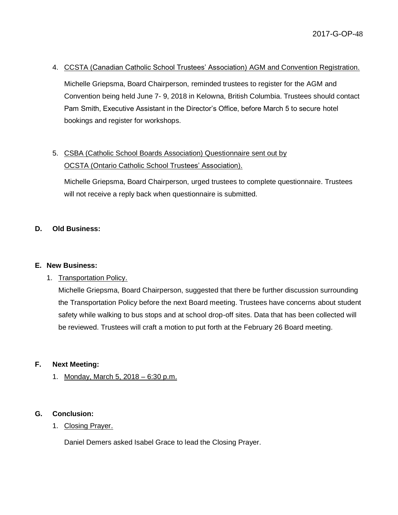#### 4. CCSTA (Canadian Catholic School Trustees' Association) AGM and Convention Registration.

Michelle Griepsma, Board Chairperson, reminded trustees to register for the AGM and Convention being held June 7- 9, 2018 in Kelowna, British Columbia. Trustees should contact Pam Smith, Executive Assistant in the Director's Office, before March 5 to secure hotel bookings and register for workshops.

## 5. CSBA (Catholic School Boards Association) Questionnaire sent out by OCSTA (Ontario Catholic School Trustees' Association).

Michelle Griepsma, Board Chairperson, urged trustees to complete questionnaire. Trustees will not receive a reply back when questionnaire is submitted.

#### **D. Old Business:**

#### **E. New Business:**

1. Transportation Policy.

Michelle Griepsma, Board Chairperson, suggested that there be further discussion surrounding the Transportation Policy before the next Board meeting. Trustees have concerns about student safety while walking to bus stops and at school drop-off sites. Data that has been collected will be reviewed. Trustees will craft a motion to put forth at the February 26 Board meeting.

#### **F. Next Meeting:**

1. Monday, March 5, 2018 – 6:30 p.m.

#### **G. Conclusion:**

1. Closing Prayer.

Daniel Demers asked Isabel Grace to lead the Closing Prayer.